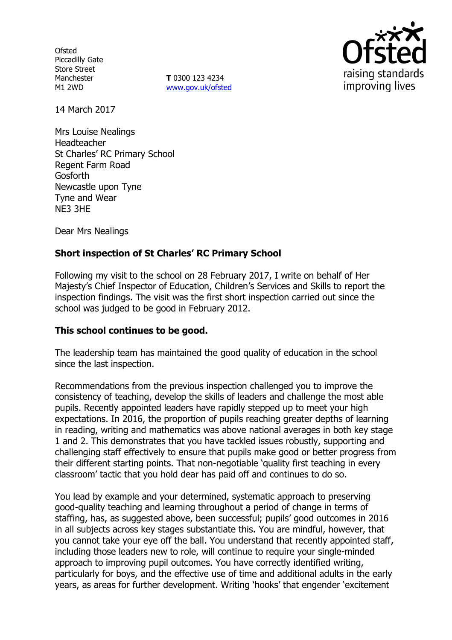**Ofsted** Piccadilly Gate Store Street Manchester M1 2WD

**T** 0300 123 4234 www.gov.uk/ofsted



14 March 2017

Mrs Louise Nealings Headteacher St Charles' RC Primary School Regent Farm Road **Gosforth** Newcastle upon Tyne Tyne and Wear NE3 3HE

Dear Mrs Nealings

# **Short inspection of St Charles' RC Primary School**

Following my visit to the school on 28 February 2017, I write on behalf of Her Majesty's Chief Inspector of Education, Children's Services and Skills to report the inspection findings. The visit was the first short inspection carried out since the school was judged to be good in February 2012.

#### **This school continues to be good.**

The leadership team has maintained the good quality of education in the school since the last inspection.

Recommendations from the previous inspection challenged you to improve the consistency of teaching, develop the skills of leaders and challenge the most able pupils. Recently appointed leaders have rapidly stepped up to meet your high expectations. In 2016, the proportion of pupils reaching greater depths of learning in reading, writing and mathematics was above national averages in both key stage 1 and 2. This demonstrates that you have tackled issues robustly, supporting and challenging staff effectively to ensure that pupils make good or better progress from their different starting points. That non-negotiable 'quality first teaching in every classroom' tactic that you hold dear has paid off and continues to do so.

You lead by example and your determined, systematic approach to preserving good-quality teaching and learning throughout a period of change in terms of staffing, has, as suggested above, been successful; pupils' good outcomes in 2016 in all subjects across key stages substantiate this. You are mindful, however, that you cannot take your eye off the ball. You understand that recently appointed staff, including those leaders new to role, will continue to require your single-minded approach to improving pupil outcomes. You have correctly identified writing, particularly for boys, and the effective use of time and additional adults in the early years, as areas for further development. Writing 'hooks' that engender 'excitement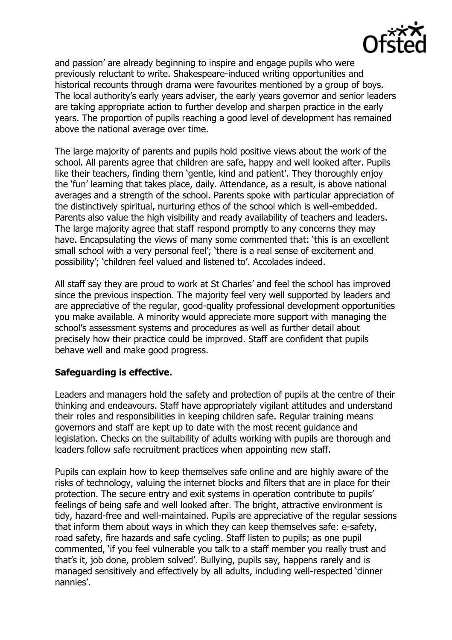

and passion' are already beginning to inspire and engage pupils who were previously reluctant to write. Shakespeare-induced writing opportunities and historical recounts through drama were favourites mentioned by a group of boys. The local authority's early years adviser, the early years governor and senior leaders are taking appropriate action to further develop and sharpen practice in the early years. The proportion of pupils reaching a good level of development has remained above the national average over time.

The large majority of parents and pupils hold positive views about the work of the school. All parents agree that children are safe, happy and well looked after. Pupils like their teachers, finding them 'gentle, kind and patient'. They thoroughly enjoy the 'fun' learning that takes place, daily. Attendance, as a result, is above national averages and a strength of the school. Parents spoke with particular appreciation of the distinctively spiritual, nurturing ethos of the school which is well-embedded. Parents also value the high visibility and ready availability of teachers and leaders. The large majority agree that staff respond promptly to any concerns they may have. Encapsulating the views of many some commented that: 'this is an excellent small school with a very personal feel'; 'there is a real sense of excitement and possibility'; 'children feel valued and listened to'. Accolades indeed.

All staff say they are proud to work at St Charles' and feel the school has improved since the previous inspection. The majority feel very well supported by leaders and are appreciative of the regular, good-quality professional development opportunities you make available. A minority would appreciate more support with managing the school's assessment systems and procedures as well as further detail about precisely how their practice could be improved. Staff are confident that pupils behave well and make good progress.

# **Safeguarding is effective.**

Leaders and managers hold the safety and protection of pupils at the centre of their thinking and endeavours. Staff have appropriately vigilant attitudes and understand their roles and responsibilities in keeping children safe. Regular training means governors and staff are kept up to date with the most recent guidance and legislation. Checks on the suitability of adults working with pupils are thorough and leaders follow safe recruitment practices when appointing new staff.

Pupils can explain how to keep themselves safe online and are highly aware of the risks of technology, valuing the internet blocks and filters that are in place for their protection. The secure entry and exit systems in operation contribute to pupils' feelings of being safe and well looked after. The bright, attractive environment is tidy, hazard-free and well-maintained. Pupils are appreciative of the regular sessions that inform them about ways in which they can keep themselves safe: e-safety, road safety, fire hazards and safe cycling. Staff listen to pupils; as one pupil commented, 'if you feel vulnerable you talk to a staff member you really trust and that's it, job done, problem solved'. Bullying, pupils say, happens rarely and is managed sensitively and effectively by all adults, including well-respected 'dinner nannies'.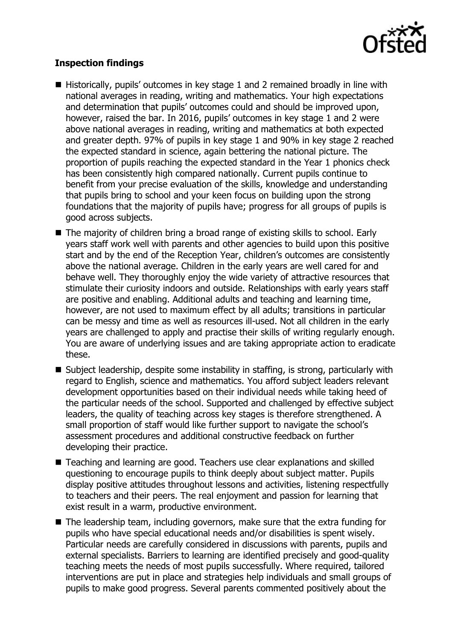

# **Inspection findings**

- Historically, pupils' outcomes in key stage 1 and 2 remained broadly in line with national averages in reading, writing and mathematics. Your high expectations and determination that pupils' outcomes could and should be improved upon, however, raised the bar. In 2016, pupils' outcomes in key stage 1 and 2 were above national averages in reading, writing and mathematics at both expected and greater depth. 97% of pupils in key stage 1 and 90% in key stage 2 reached the expected standard in science, again bettering the national picture. The proportion of pupils reaching the expected standard in the Year 1 phonics check has been consistently high compared nationally. Current pupils continue to benefit from your precise evaluation of the skills, knowledge and understanding that pupils bring to school and your keen focus on building upon the strong foundations that the majority of pupils have; progress for all groups of pupils is good across subjects.
- The majority of children bring a broad range of existing skills to school. Early years staff work well with parents and other agencies to build upon this positive start and by the end of the Reception Year, children's outcomes are consistently above the national average. Children in the early years are well cared for and behave well. They thoroughly enjoy the wide variety of attractive resources that stimulate their curiosity indoors and outside. Relationships with early years staff are positive and enabling. Additional adults and teaching and learning time, however, are not used to maximum effect by all adults; transitions in particular can be messy and time as well as resources ill-used. Not all children in the early years are challenged to apply and practise their skills of writing regularly enough. You are aware of underlying issues and are taking appropriate action to eradicate these.
- Subject leadership, despite some instability in staffing, is strong, particularly with regard to English, science and mathematics. You afford subject leaders relevant development opportunities based on their individual needs while taking heed of the particular needs of the school. Supported and challenged by effective subject leaders, the quality of teaching across key stages is therefore strengthened. A small proportion of staff would like further support to navigate the school's assessment procedures and additional constructive feedback on further developing their practice.
- Teaching and learning are good. Teachers use clear explanations and skilled questioning to encourage pupils to think deeply about subject matter. Pupils display positive attitudes throughout lessons and activities, listening respectfully to teachers and their peers. The real enjoyment and passion for learning that exist result in a warm, productive environment.
- The leadership team, including governors, make sure that the extra funding for pupils who have special educational needs and/or disabilities is spent wisely. Particular needs are carefully considered in discussions with parents, pupils and external specialists. Barriers to learning are identified precisely and good-quality teaching meets the needs of most pupils successfully. Where required, tailored interventions are put in place and strategies help individuals and small groups of pupils to make good progress. Several parents commented positively about the